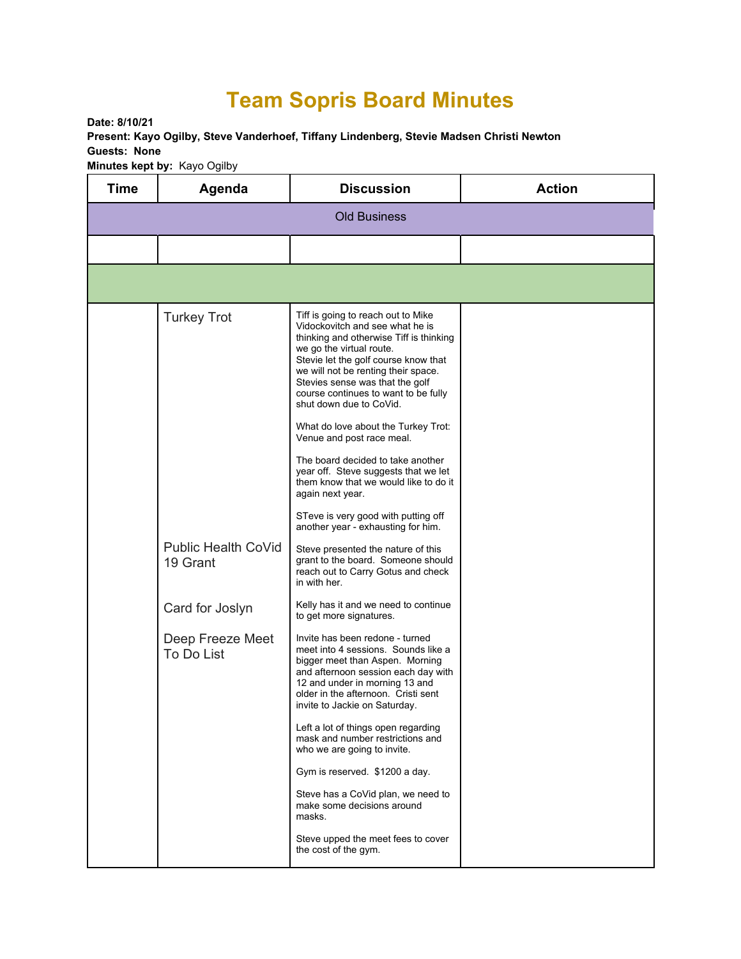## **Team Sopris Board Minutes**

**Date: 8/10/21 Present: Kayo Ogilby, Steve Vanderhoef, Tiffany Lindenberg, Stevie Madsen Christi Newton Guests: None Minutes kept by:** Kayo Ogilby

| <b>Time</b>         | Agenda                                            | <b>Discussion</b>                                                                                                                                                                                                                                                                                                                                                                                                                                                                                                                                                                                                                                                  | <b>Action</b> |  |  |
|---------------------|---------------------------------------------------|--------------------------------------------------------------------------------------------------------------------------------------------------------------------------------------------------------------------------------------------------------------------------------------------------------------------------------------------------------------------------------------------------------------------------------------------------------------------------------------------------------------------------------------------------------------------------------------------------------------------------------------------------------------------|---------------|--|--|
| <b>Old Business</b> |                                                   |                                                                                                                                                                                                                                                                                                                                                                                                                                                                                                                                                                                                                                                                    |               |  |  |
|                     |                                                   |                                                                                                                                                                                                                                                                                                                                                                                                                                                                                                                                                                                                                                                                    |               |  |  |
|                     |                                                   |                                                                                                                                                                                                                                                                                                                                                                                                                                                                                                                                                                                                                                                                    |               |  |  |
|                     | <b>Turkey Trot</b><br><b>Public Health CoVid</b>  | Tiff is going to reach out to Mike<br>Vidockovitch and see what he is<br>thinking and otherwise Tiff is thinking<br>we go the virtual route.<br>Stevie let the golf course know that<br>we will not be renting their space.<br>Stevies sense was that the golf<br>course continues to want to be fully<br>shut down due to CoVid.<br>What do love about the Turkey Trot:<br>Venue and post race meal.<br>The board decided to take another<br>year off. Steve suggests that we let<br>them know that we would like to do it<br>again next year.<br>STeve is very good with putting off<br>another year - exhausting for him.<br>Steve presented the nature of this |               |  |  |
|                     | 19 Grant                                          | grant to the board. Someone should<br>reach out to Carry Gotus and check<br>in with her.<br>Kelly has it and we need to continue                                                                                                                                                                                                                                                                                                                                                                                                                                                                                                                                   |               |  |  |
|                     | Card for Joslyn<br>Deep Freeze Meet<br>To Do List | to get more signatures.<br>Invite has been redone - turned<br>meet into 4 sessions. Sounds like a<br>bigger meet than Aspen. Morning<br>and afternoon session each day with<br>12 and under in morning 13 and<br>older in the afternoon. Cristi sent<br>invite to Jackie on Saturday.                                                                                                                                                                                                                                                                                                                                                                              |               |  |  |
|                     |                                                   | Left a lot of things open regarding<br>mask and number restrictions and<br>who we are going to invite.<br>Gym is reserved. \$1200 a day.<br>Steve has a CoVid plan, we need to<br>make some decisions around<br>masks.                                                                                                                                                                                                                                                                                                                                                                                                                                             |               |  |  |
|                     |                                                   | Steve upped the meet fees to cover<br>the cost of the gym.                                                                                                                                                                                                                                                                                                                                                                                                                                                                                                                                                                                                         |               |  |  |